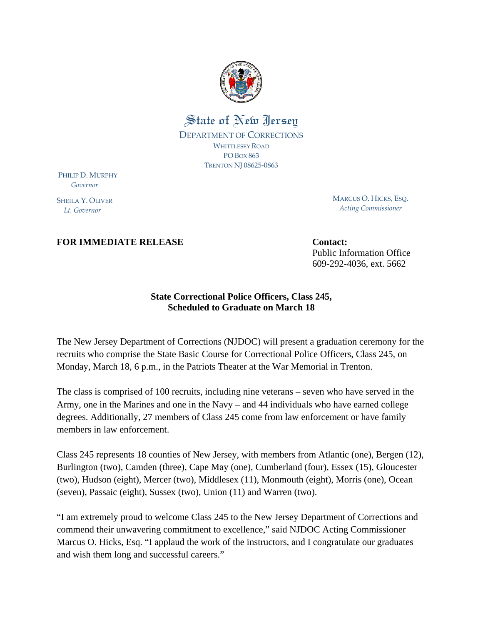

## State of New Jersey DEPARTMENT OF CORRECTIONS WHITTLESEY ROAD PO BOX 863 TRENTON NJ 08625‐0863

PHILIP D. MURPHY  *Governor*

SHEILA Y. OLIVER  *Lt. Governor*

MARCUS O. HICKS, ESQ. *Acting Commissioner*

## **FOR IMMEDIATE RELEASE Contact:** Contact:

Public Information Office 609-292-4036, ext. 5662

## **State Correctional Police Officers, Class 245, Scheduled to Graduate on March 18**

The New Jersey Department of Corrections (NJDOC) will present a graduation ceremony for the recruits who comprise the State Basic Course for Correctional Police Officers, Class 245, on Monday, March 18, 6 p.m., in the Patriots Theater at the War Memorial in Trenton.

The class is comprised of 100 recruits, including nine veterans – seven who have served in the Army, one in the Marines and one in the Navy – and 44 individuals who have earned college degrees. Additionally, 27 members of Class 245 come from law enforcement or have family members in law enforcement.

Class 245 represents 18 counties of New Jersey, with members from Atlantic (one), Bergen (12), Burlington (two), Camden (three), Cape May (one), Cumberland (four), Essex (15), Gloucester (two), Hudson (eight), Mercer (two), Middlesex (11), Monmouth (eight), Morris (one), Ocean (seven), Passaic (eight), Sussex (two), Union (11) and Warren (two).

"I am extremely proud to welcome Class 245 to the New Jersey Department of Corrections and commend their unwavering commitment to excellence," said NJDOC Acting Commissioner Marcus O. Hicks, Esq. "I applaud the work of the instructors, and I congratulate our graduates and wish them long and successful careers."